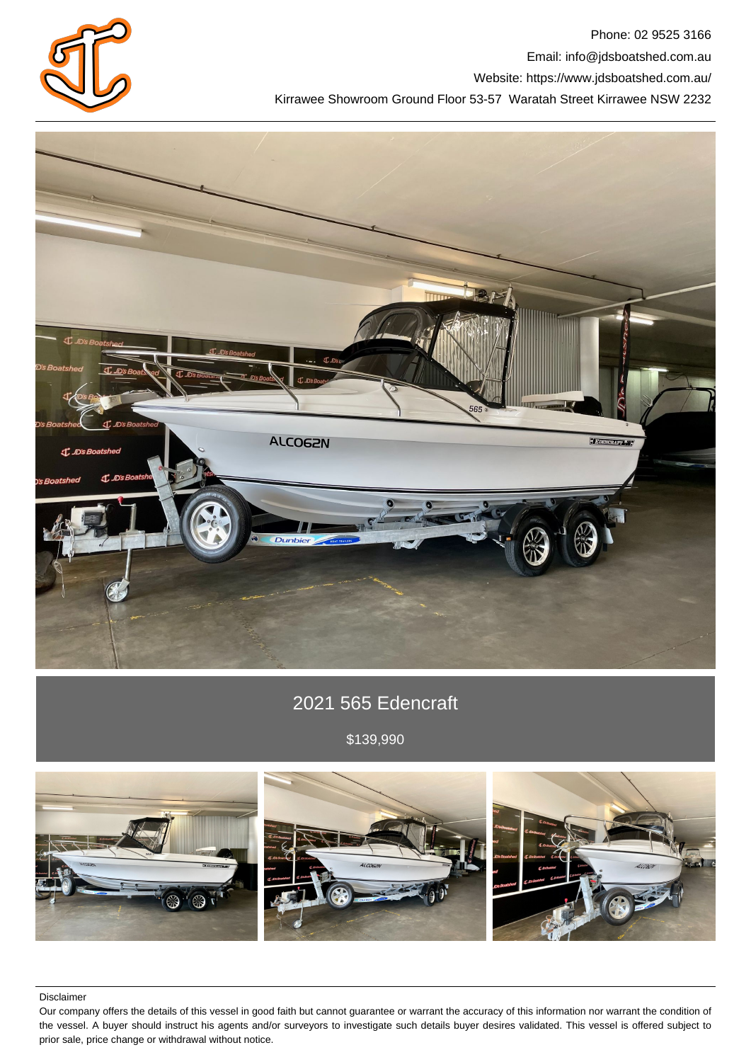

Phone: 02 9525 3166 Email: info@jdsboatshed.com.au Website: https://www.jdsboatshed.com.au/ Kirrawee Showroom Ground Floor 53-57 Waratah Street Kirrawee NSW 2232



# 2021 565 Edencraft

\$139,990



Disclaimer

Our company offers the details of this vessel in good faith but cannot guarantee or warrant the accuracy of this information nor warrant the condition of the vessel. A buyer should instruct his agents and/or surveyors to investigate such details buyer desires validated. This vessel is offered subject to prior sale, price change or withdrawal without notice.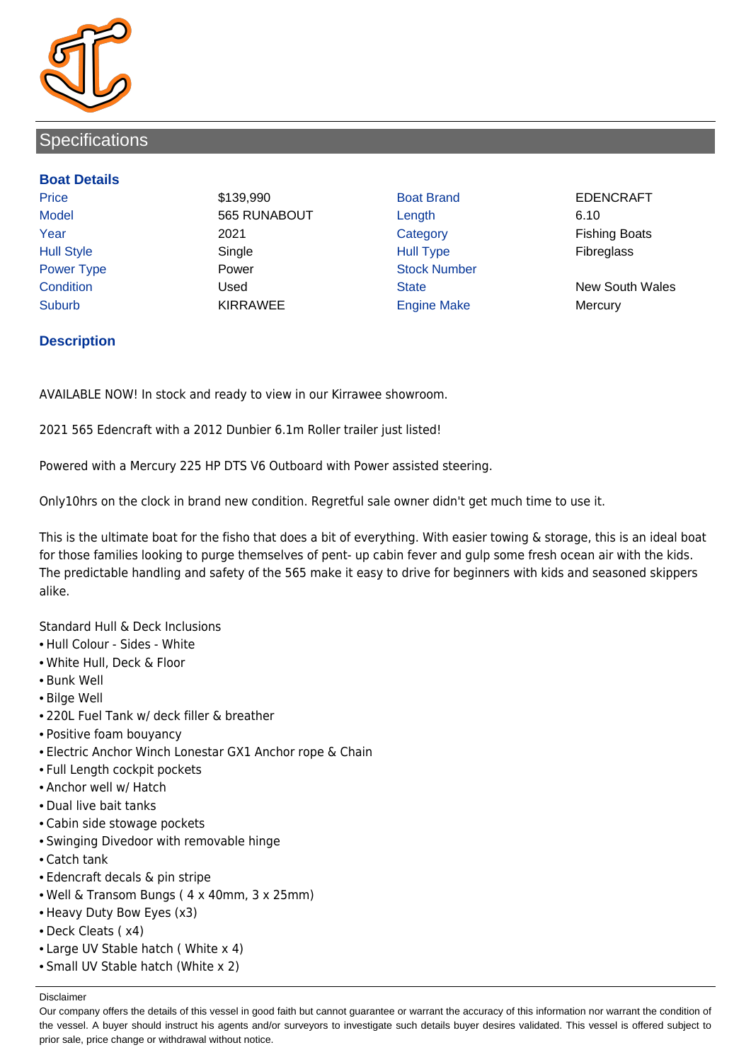

# **Specifications**

## **Boat Details**

Price **8139,990** Boat Brand **EDENCRAFT** Model 6.10 Year **2021** 2021 Category **Fishing Boats** Hull Style Single Hull Type Fibreglass Power Type **Power Power** Power Stock Number Suburb **KIRRAWEE Engine Make Mercury** Mercury

Condition Used State New South Wales

# **Description**

AVAILABLE NOW! In stock and ready to view in our Kirrawee showroom.

2021 565 Edencraft with a 2012 Dunbier 6.1m Roller trailer just listed!

Powered with a Mercury 225 HP DTS V6 Outboard with Power assisted steering.

Only10hrs on the clock in brand new condition. Regretful sale owner didn't get much time to use it.

This is the ultimate boat for the fisho that does a bit of everything. With easier towing & storage, this is an ideal boat for those families looking to purge themselves of pent- up cabin fever and gulp some fresh ocean air with the kids. The predictable handling and safety of the 565 make it easy to drive for beginners with kids and seasoned skippers alike.

Standard Hull & Deck Inclusions

- Hull Colour Sides White
- White Hull, Deck & Floor
- Bunk Well
- Bilge Well
- 220L Fuel Tank w/ deck filler & breather
- Positive foam bouyancy
- Electric Anchor Winch Lonestar GX1 Anchor rope & Chain
- Full Length cockpit pockets
- Anchor well w/ Hatch
- Dual live bait tanks
- Cabin side stowage pockets
- Swinging Divedoor with removable hinge
- Catch tank
- Edencraft decals & pin stripe
- Well & Transom Bungs ( 4 x 40mm, 3 x 25mm)
- Heavy Duty Bow Eyes (x3)
- Deck Cleats ( x4)
- Large UV Stable hatch ( White x 4)
- Small UV Stable hatch (White x 2)

Disclaimer

Our company offers the details of this vessel in good faith but cannot guarantee or warrant the accuracy of this information nor warrant the condition of the vessel. A buyer should instruct his agents and/or surveyors to investigate such details buyer desires validated. This vessel is offered subject to prior sale, price change or withdrawal without notice.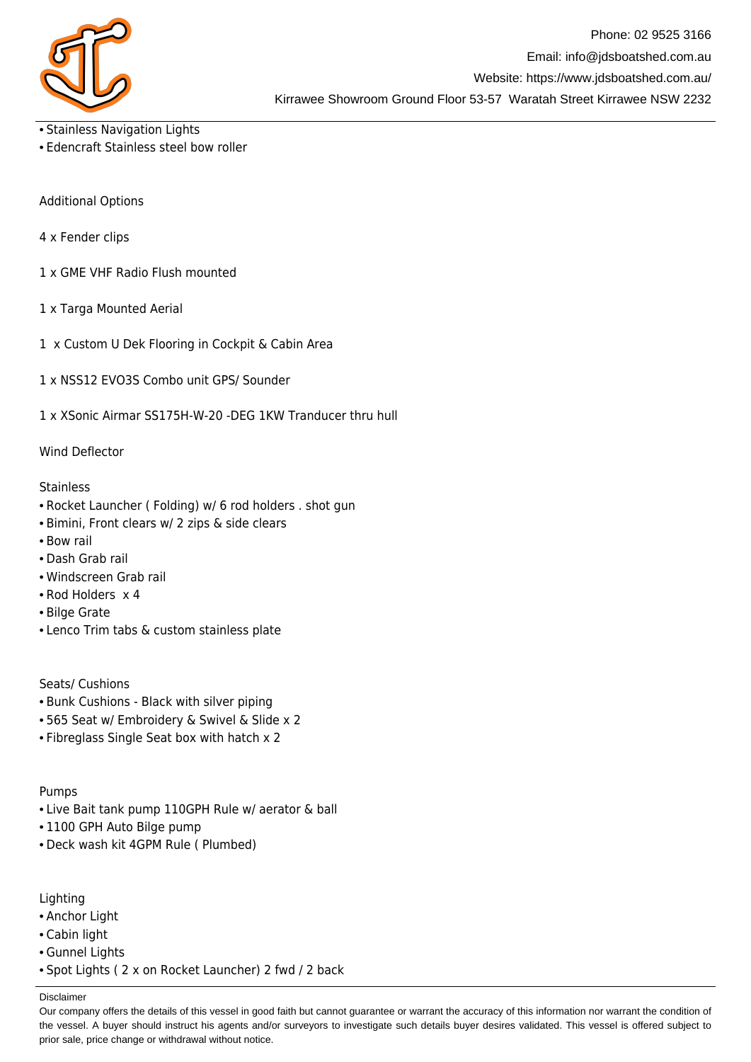

- Stainless Navigation Lights
- Edencraft Stainless steel bow roller

Additional Options

- 4 x Fender clips
- 1 x GME VHF Radio Flush mounted
- 1 x Targa Mounted Aerial
- 1 x Custom U Dek Flooring in Cockpit & Cabin Area
- 1 x NSS12 EVO3S Combo unit GPS/ Sounder
- 1 x XSonic Airmar SS175H-W-20 -DEG 1KW Tranducer thru hull

## Wind Deflector

#### **Stainless**

- Rocket Launcher ( Folding) w/ 6 rod holders . shot gun
- Bimini, Front clears w/ 2 zips & side clears
- Bow rail
- Dash Grab rail
- Windscreen Grab rail
- Rod Holders x 4
- Bilge Grate
- Lenco Trim tabs & custom stainless plate

Seats/ Cushions

- Bunk Cushions Black with silver piping
- 565 Seat w/ Embroidery & Swivel & Slide x 2
- Fibreglass Single Seat box with hatch x 2

Pumps

- Live Bait tank pump 110GPH Rule w/ aerator & ball
- 1100 GPH Auto Bilge pump
- Deck wash kit 4GPM Rule ( Plumbed)

Lighting

- Anchor Light
- Cabin light
- Gunnel Lights
- Spot Lights ( 2 x on Rocket Launcher) 2 fwd / 2 back

Disclaimer

Our company offers the details of this vessel in good faith but cannot guarantee or warrant the accuracy of this information nor warrant the condition of the vessel. A buyer should instruct his agents and/or surveyors to investigate such details buyer desires validated. This vessel is offered subject to prior sale, price change or withdrawal without notice.